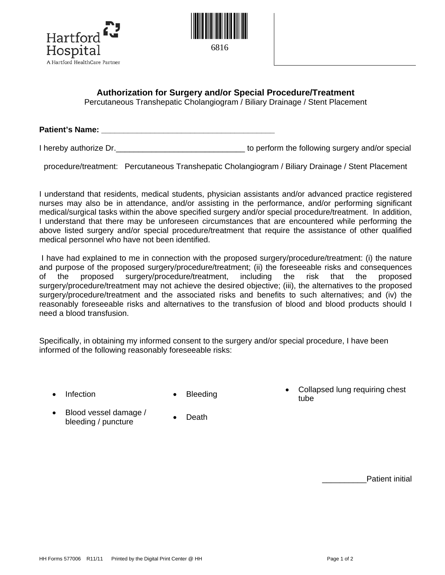



## **Authorization for Surgery and/or Special Procedure/Treatment**

Percutaneous Transhepatic Cholangiogram / Biliary Drainage / Stent Placement

**Patient's Name:**  $\blacksquare$ 

I hereby authorize Dr. Consequence Consequence in the following surgery and/or special

procedure/treatment: Percutaneous Transhepatic Cholangiogram / Biliary Drainage / Stent Placement

I understand that residents, medical students, physician assistants and/or advanced practice registered nurses may also be in attendance, and/or assisting in the performance, and/or performing significant medical/surgical tasks within the above specified surgery and/or special procedure/treatment. In addition, I understand that there may be unforeseen circumstances that are encountered while performing the above listed surgery and/or special procedure/treatment that require the assistance of other qualified medical personnel who have not been identified.

I have had explained to me in connection with the proposed surgery/procedure/treatment: (i) the nature and purpose of the proposed surgery/procedure/treatment; (ii) the foreseeable risks and consequences of the proposed surgery/procedure/treatment, including the risk that the proposed surgery/procedure/treatment may not achieve the desired objective; (iii), the alternatives to the proposed surgery/procedure/treatment and the associated risks and benefits to such alternatives; and (iv) the reasonably foreseeable risks and alternatives to the transfusion of blood and blood products should I need a blood transfusion.

Specifically, in obtaining my informed consent to the surgery and/or special procedure, I have been informed of the following reasonably foreseeable risks:

- 
- Infection Bleeding **Collapsed lung requiring chest** tube
- Blood vessel damage / blood vessel damage  $\overline{\phantom{a}}$  Death<br>bleeding / puncture
	-

Patient initial